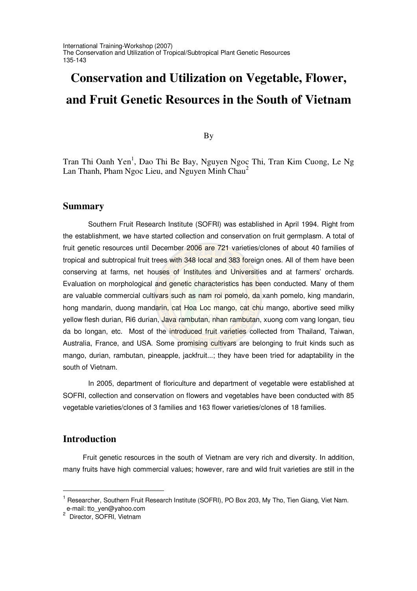# **Conservation and Utilization on Vegetable, Flower, and Fruit Genetic Resources in the South of Vietnam**

By

Tran Thi Oanh Yen<sup>1</sup>, Dao Thi Be Bay, Nguyen Ngoc Thi, Tran Kim Cuong, Le Ng Lan Thanh, Pham Ngoc Lieu, and Nguyen Minh Chau<sup>2</sup>

## **Summary**

Southern Fruit Research Institute (SOFRI) was established in April 1994. Right from the establishment, we have started collection and conservation on fruit germplasm. A total of fruit genetic resources until December 2006 are 721 varieties/clones of about 40 families of tropical and subtropical fruit trees with 348 local and 383 foreign ones. All of them have been conserving at farms, net houses of Institutes and Universities and at farmers' orchards. Evaluation on morphological and genetic characteristics has been conducted. Many of them are valuable commercial cultivars such as nam roi pomelo, da xanh pomelo, king mandarin, hong mandarin, duong mandarin, cat Hoa Loc mango, cat chu mango, abortive seed milky yellow flesh durian, Ri6 durian, Java rambutan, nhan rambutan, xuong com vang longan, tieu da bo longan, etc. Most of the introduced fruit varieties collected from Thailand, Taiwan, Australia, France, and USA. Some promising cultivars are belonging to fruit kinds such as mango, durian, rambutan, pineapple, jackfruit...; they have been tried for adaptability in the south of Vietnam.

In 2005, department of floriculture and department of vegetable were established at SOFRI, collection and conservation on flowers and vegetables have been conducted with 85 vegetable varieties/clones of 3 families and 163 flower varieties/clones of 18 families.

## **Introduction**

Fruit genetic resources in the south of Vietnam are very rich and diversity. In addition, many fruits have high commercial values; however, rare and wild fruit varieties are still in the

<sup>&</sup>lt;sup>1</sup> Researcher, Southern Fruit Research Institute (SOFRI), PO Box 203, My Tho, Tien Giang, Viet Nam.

e-mail: tto\_yen@yahoo.com<br><sup>2</sup> Director, SOFRI, Vietnam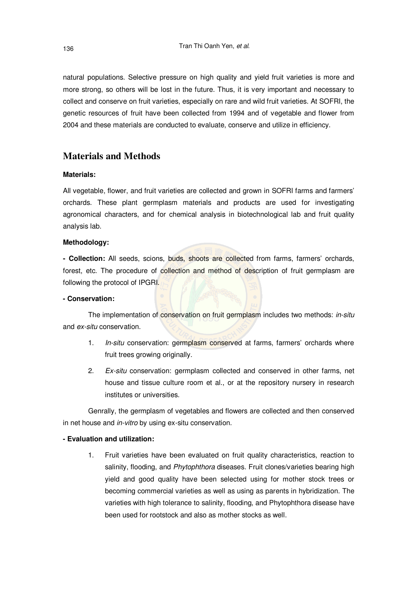natural populations. Selective pressure on high quality and yield fruit varieties is more and more strong, so others will be lost in the future. Thus, it is very important and necessary to collect and conserve on fruit varieties, especially on rare and wild fruit varieties. At SOFRI, the genetic resources of fruit have been collected from 1994 and of vegetable and flower from 2004 and these materials are conducted to evaluate, conserve and utilize in efficiency.

# **Materials and Methods**

## **Materials:**

All vegetable, flower, and fruit varieties are collected and grown in SOFRI farms and farmers' orchards. These plant germplasm materials and products are used for investigating agronomical characters, and for chemical analysis in biotechnological lab and fruit quality analysis lab.

## **Methodology:**

**- Collection:** All seeds, scions, buds, shoots are collected from farms, farmers' orchards, forest, etc. The procedure of collection and method of description of fruit germplasm are following the protocol of IPGRI.

## **- Conservation:**

The implementation of conservation on fruit germplasm includes two methods: *in-situ* and *ex-situ* conservation.

- 1. *In-situ* conservation: germplasm conserved at farms, farmers' orchards where fruit trees growing originally.
- 2. *Ex-situ* conservation: germplasm collected and conserved in other farms, net house and tissue culture room et al., or at the repository nursery in research institutes or universities.

Genrally, the germplasm of vegetables and flowers are collected and then conserved in net house and *in-vitro* by using ex-situ conservation.

## **- Evaluation and utilization:**

1. Fruit varieties have been evaluated on fruit quality characteristics, reaction to salinity, flooding, and *Phytophthora* diseases. Fruit clones/varieties bearing high yield and good quality have been selected using for mother stock trees or becoming commercial varieties as well as using as parents in hybridization. The varieties with high tolerance to salinity, flooding, and Phytophthora disease have been used for rootstock and also as mother stocks as well.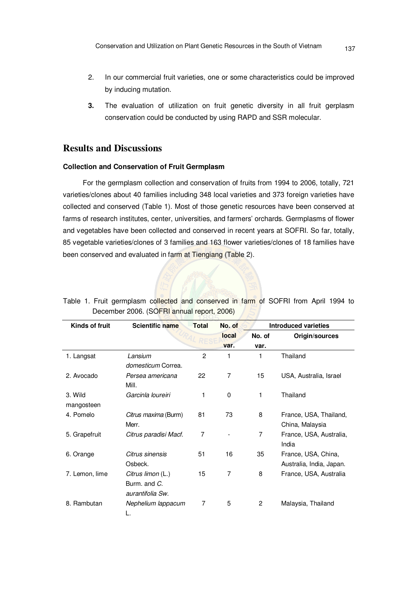- 2. In our commercial fruit varieties, one or some characteristics could be improved by inducing mutation.
- **3.** The evaluation of utilization on fruit genetic diversity in all fruit gerplasm conservation could be conducted by using RAPD and SSR molecular.

# **Results and Discussions**

## **Collection and Conservation of Fruit Germplasm**

For the germplasm collection and conservation of fruits from 1994 to 2006, totally, 721 varieties/clones about 40 families including 348 local varieties and 373 foreign varieties have collected and conserved (Table 1). Most of those genetic resources have been conserved at farms of research institutes, center, universities, and farmers' orchards. Germplasms of flower and vegetables have been collected and conserved in recent years at SOFRI. So far, totally, 85 vegetable varieties/clones of 3 families and 163 flower varieties/clones of 18 families have been conserved and evaluated in farm at Tiengiang (Table 2).

| Kinds of fruit        | Scientific name                                       | <b>Total</b> | No. of         |                | <b>Introduced varieties</b>                     |  |
|-----------------------|-------------------------------------------------------|--------------|----------------|----------------|-------------------------------------------------|--|
|                       |                                                       |              | local          | No. of         | Origin/sources                                  |  |
|                       |                                                       |              | var.           | var.           |                                                 |  |
| 1. Langsat            | Lansium<br>domesticum Correa.                         | 2            | 1              | 1              | Thailand                                        |  |
| 2. Avocado            | Persea americana<br>Mill.                             | 22           | $\overline{7}$ | 15             | USA, Australia, Israel                          |  |
| 3. Wild<br>mangosteen | Garcinla loureiri                                     | 1            | $\mathbf 0$    | 1              | Thailand                                        |  |
| 4. Pomelo             | Citrus maxima (Burm)<br>Merr.                         | 81           | 73             | 8              | France, USA, Thailand,<br>China, Malaysia       |  |
| 5. Grapefruit         | Citrus paradisi Macf.                                 | 7            |                | $\overline{7}$ | France, USA, Australia,<br>India                |  |
| 6. Orange             | Citrus sinensis<br>Osbeck.                            | 51           | 16             | 35             | France, USA, China,<br>Australia, India, Japan. |  |
| 7. Lemon, lime        | Citrus limon (L.)<br>Burm, and C.<br>aurantifolia Sw. | 15           | 7              | 8              | France, USA, Australia                          |  |
| 8. Rambutan           | Nephelium lappacum<br>L.                              | 7            | 5              | 2              | Malaysia, Thailand                              |  |

Table 1. Fruit germplasm collected and conserved in farm of SOFRI from April 1994 to December 2006. (SOFRI annual report, 2006)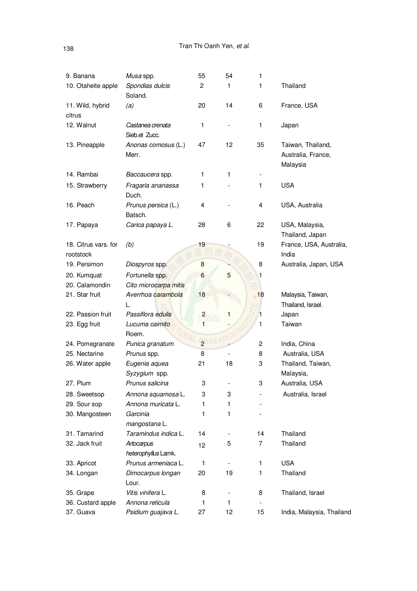| 9. Banana                         | Musa spp.                         | 55                            | 54 | 1              |                                                     |
|-----------------------------------|-----------------------------------|-------------------------------|----|----------------|-----------------------------------------------------|
| 10. Otaheite apple                | Spondias dulcis<br>Soland.        | 2                             | 1  | 1              | Thailand                                            |
| 11. Wild, hybrid<br>citrus        | (a)                               | 20                            | 14 | 6              | France, USA                                         |
| 12. Walnut                        | Castanea crenata<br>Sieb.et Zucc. | 1                             |    | 1              | Japan                                               |
| 13. Pineapple                     | Anonas comosus (L.)<br>Merr.      | 47                            | 12 | 35             | Taiwan, Thailand,<br>Australia, France,<br>Malaysia |
| 14. Rambai                        | Baccaucera spp.                   | 1                             | 1  |                |                                                     |
| 15. Strawberry                    | Fragaria ananassa<br>Duch.        | 1                             |    | 1              | <b>USA</b>                                          |
| 16. Peach                         | Prunus persica (L.)<br>Batsch.    | 4                             |    | 4              | USA, Australia                                      |
| 17. Papaya                        | Carica papaya L.                  | 28                            | 6  | 22             | USA, Malaysia,<br>Thailand, Japan                   |
| 18. Citrus vars. for<br>rootstock | (b)                               | 19                            |    | 19             | France, USA, Australia,<br>India                    |
| 19. Persimon                      | Diospyros spp.                    | 8                             |    | 8              | Australia, Japan, USA                               |
| 20. Kumquat                       | Fortunella spp.                   | $6\phantom{a}$                | 5  | 1              |                                                     |
| 20. Calamondin                    | Cito microcarpa mitis             |                               |    |                |                                                     |
| 21. Star fruit                    | Averrhoa carambola<br>L.          | 18                            |    | 18             | Malaysia, Taiwan,<br>Thailand, Israel.              |
| 22. Passion fruit                 | Passiflora edulis                 |                               | 1  | 1              | Japan                                               |
| 23. Egg fruit                     | Lucuma caimito                    | $\overline{\phantom{a}}$<br>1 |    | 1              | Taiwan                                              |
|                                   | Roem.                             |                               |    |                |                                                     |
| 24. Pomegranate                   | Punica granatum                   | $\overline{2}$                |    | $\overline{c}$ | India, China                                        |
| 25. Nectarine                     | Prunus spp.                       | 8                             |    | 8              | Australia, USA                                      |
| 26. Water apple                   | Eugenia aquea<br>Syzygium spp.    | 21                            | 18 | 3              | Thailand, Taiwan,<br>Malaysia,                      |
| 27. Plum                          | Prunus salicina                   | 3                             |    | 3              | Australia, USA                                      |
| 28. Sweetsop                      | Annona squamosa L.                | 3                             | 3  |                | Australia, Israel                                   |
| 29. Sour sop                      | Annona muricata L.                | 1                             | 1  |                |                                                     |
| 30. Mangosteen                    | Garcinia<br>mangostana L.         | 1                             | 1  |                |                                                     |
| 31. Tamarind                      | Taramindus indica L.              | 14                            |    | 14             | Thailand                                            |
| 32. Jack fruit                    | Artocarpus<br>heterophyllus Lamk. | 12                            | 5  | 7              | Thailand                                            |
| 33. Apricot                       | Prunus armeniaca L.               | 1                             |    | 1              | <b>USA</b>                                          |
| 34. Longan                        | Dimocarpus longan<br>Lour.        | 20                            | 19 | 1              | Thailand                                            |
| 35. Grape                         | Vitis vinifera L.                 | 8                             |    | 8              | Thailand, Israel                                    |
| 36. Custard apple                 | Annona reticula                   | 1                             | 1  |                |                                                     |
| 37. Guava                         | Psidium guajava L.                | 27                            | 12 | 15             | India, Malaysia, Thailand                           |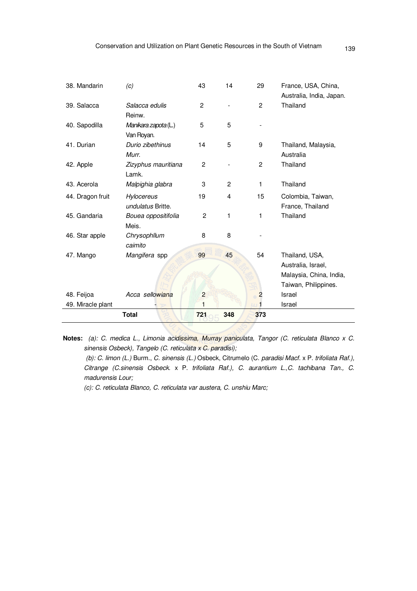| 38. Mandarin      | (c)                  | 43             | 14  | 29             | France, USA, China,      |
|-------------------|----------------------|----------------|-----|----------------|--------------------------|
|                   |                      |                |     |                | Australia, India, Japan. |
| 39. Salacca       | Salacca edulis       | $\overline{2}$ |     | $\overline{2}$ | Thailand                 |
|                   | Reinw.               |                |     |                |                          |
| 40. Sapodilla     | Manikara zapota (L.) | 5              | 5   |                |                          |
|                   | Van Royan.           |                |     |                |                          |
| 41. Durian        | Durio zibethinus     | 14             | 5   | 9              | Thailand, Malaysia,      |
|                   | Murr.                |                |     |                | Australia                |
| 42. Apple         | Zizyphus mauritiana  | $\overline{c}$ |     | $\mathbf{2}$   | Thailand                 |
|                   | Lamk.                |                |     |                |                          |
| 43. Acerola       | Malpighia glabra     | 3              | 2   | 1              | Thailand                 |
| 44. Dragon fruit  | <b>Hylocereus</b>    | 19             | 4   | 15             | Colombia, Taiwan,        |
|                   | undulatus Britte.    |                |     |                | France, Thailand         |
| 45. Gandaria      | Bouea oppositifolia  | $\overline{c}$ | 1   | 1              | Thailand                 |
|                   | Meis.                |                |     |                |                          |
| 46. Star apple    | Chrysophllum         | 8              | 8   |                |                          |
|                   | caimito              |                |     |                |                          |
| 47. Mango         | Mangifera spp        | 99             | 45  | 54             | Thailand, USA,           |
|                   |                      |                |     |                | Australia, Israel,       |
|                   |                      |                |     |                | Malaysia, China, India,  |
|                   |                      |                |     |                | Taiwan, Philippines.     |
| 48. Feijoa        | Acca sellowiana      | $\overline{c}$ |     | $\overline{c}$ | Israel                   |
| 49. Miracle plant |                      | 1              |     |                | Israel                   |
|                   | <b>Total</b>         | 721            | 348 | 373            |                          |

**Notes:** *(a): C. medica L., Limonia acidissima, Murray paniculata, Tangor (C. reticulata Blanco x C. sinensis Osbeck), Tangelo (C. reticulata x C. paradisi);*

*(b): C. limon (L.)* Burm., *C. sinensis (L.)* Osbeck, Citrumelo (C. *paradisi Macf.* x P. *trifoliata Raf.), Citrange (C.sinensis Osbeck.* x P. *trifoliata Raf.), C. aurantium L.,C. tachibana Tan., C. madurensis Lour;*

*(c): C. reticulata Blanco, C. reticulata var austera, C. unshiu Marc;*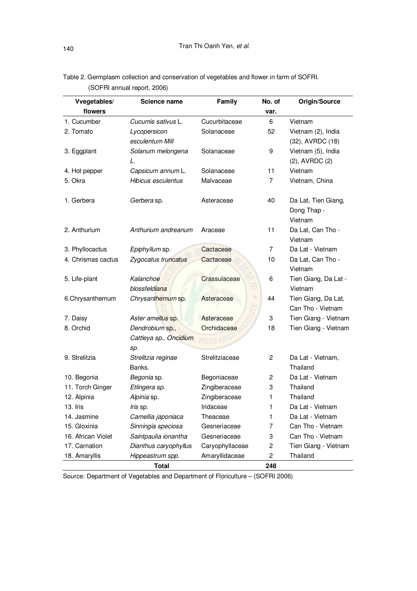| Vvegetables/       | Science name                        | Family          | No. of         | Origin/Source                            |
|--------------------|-------------------------------------|-----------------|----------------|------------------------------------------|
| flowers            |                                     |                 | var.           |                                          |
| 1. Cucumber        | Cucumis sativus L.                  | Cucurbitaceae   | 6              | Vietnam                                  |
| 2. Tomato          | Lycopersicon                        | Solanaceae      | 52             | Vietnam (2), India                       |
|                    | esculentum Mill                     |                 |                | (32), AVRDC (18)                         |
| 3. Eggplant        | Solanum melongena                   | Solanaceae      | 9              | Vietnam (5), India                       |
|                    | L.                                  |                 |                | $(2)$ , AVRDC $(2)$                      |
| 4. Hot pepper      | Capsicum annum L.                   | Solanaceae      | 11             | Vietnam                                  |
| 5. Okra            | Hibicus esculentus                  | Malvaceae       | 7              | Vietnam, China                           |
| 1. Gerbera         | Gerbera sp.                         | Asteraceae      | 40             | Da Lat, Tien Giang,<br>Dong Thap -       |
| 2. Anthurium       | Anthurium andreanum                 | Araceae         | 11             | Vietnam<br>Da Lat, Can Tho -<br>Vietnam  |
| 3. Phyllocactus    | Epiphyllum sp.                      | Cactaceae       | $\overline{7}$ | Da Lat - Vietnam                         |
| 4. Chrismas cactus | Zygocatus truncatus                 | Cactaceae       | 10             | Da Lat, Can Tho -<br>Vietnam             |
| 5. Life-plant      | Kalanchoe<br>blossfeldiana          | Crassulaceae    | 6              | Tien Giang, Da Lat -<br>Vietnam          |
| 6.Chrysanthemum    | Chrysanthemum sp.                   | Asteraceae      | 44             | Tien Giang, Da Lat,<br>Can Tho - Vietnam |
| 7. Daisy           | Aster amellus sp.                   | Asteraceae      | 3              | Tien Giang - Vietnam                     |
| 8. Orchid          | Dendrobium sp.,                     | Orchidaceae     | 18             | Tien Giang - Vietnam                     |
|                    | Cattleya sp., Oncidium              |                 |                |                                          |
| 9. Strelitzia      | sp.<br>Strelitzia reginae<br>Banks. | Strelitziaceae  | 2              | Da Lat - Vietnam,<br>Thailand            |
| 10. Begonia        | Begonia sp.                         | Begoniaceae     | 2              | Da Lat - Vietnam                         |
| 11. Torch Ginger   | Etlingera sp.                       | Zingiberaceae   | 3              | Thailand                                 |
| 12. Alpinia        | Alpinia sp.                         | Zingiberaceae   | 1              | Thailand                                 |
| 13. Iris           | Iris sp.                            | Iridaceae       | 1              | Da Lat - Vietnam                         |
| 14. Jasmine        | Camellia japoniaca                  | Theaceae        | 1              | Da Lat - Vietnam                         |
| 15. Gloxinia       | Sinningia speciosa                  | Gesneriaceae    | 7              | Can Tho - Vietnam                        |
| 16. African Violet | Saintpaulia ionantha                | Gesneriaceae    | 3              | Can Tho - Vietnam                        |
| 17. Carnation      | Dianthus caryophyllus               | Caryophyllaceae | 2              | Tien Giang - Vietnam                     |
| 18. Amaryllis      | Hippeastrum spp.                    | Amaryllidaceae  | $\overline{c}$ | Thailand                                 |
|                    | <b>Total</b>                        |                 | 248            |                                          |

Table 2. Germplasm collection and conservation of vegetables and flower in farm of SOFRI. (SOFRI annual report, 2006)

Source: Department of Vegetables and Department of Floriculture – (SOFRI 2006)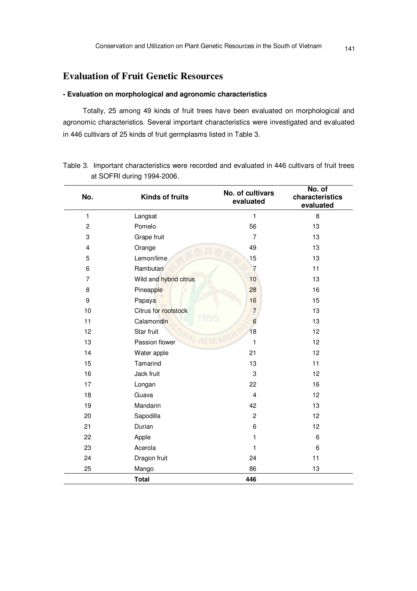# **Evaluation of Fruit Genetic Resources**

## **- Evaluation on morphological and agronomic characteristics**

Totally, 25 among 49 kinds of fruit trees have been evaluated on morphological and agronomic characteristics. Several important characteristics were investigated and evaluated in 446 cultivars of 25 kinds of fruit germplasms listed in Table 3.

| No.            | <b>Kinds of fruits</b> | No. of cultivars<br>evaluated | No. of<br>characteristics<br>evaluated |
|----------------|------------------------|-------------------------------|----------------------------------------|
| 1              | Langsat                | 1                             | 8                                      |
| $\overline{c}$ | Pomelo                 | 56                            | 13                                     |
| 3              | Grape fruit            | $\overline{7}$                | 13                                     |
| 4              | Orange                 | 49                            | 13                                     |
| 5              | Lemon/lime             | 15                            | 13                                     |
| 6              | Rambutan               | $\overline{7}$                | 11                                     |
| $\overline{7}$ | Wild and hybrid citrus | 10                            | 13                                     |
| 8              | Pineapple              | 28                            | 16                                     |
| 9              | Papaya                 | 16                            | 15                                     |
| 10             | Citrus for rootstock   | $\overline{7}$                | 13                                     |
| 11             | 1895<br>Calamondin     | $6\phantom{1}6$               | 13                                     |
| 12             | Star fruit             | 18                            | 12                                     |
| 13             | Passion flower         | 1                             | 12                                     |
| 14             | Water apple            | 21                            | 12                                     |
| 15             | Tamarind               | 13                            | 11                                     |
| 16             | Jack fruit             | 3                             | 12                                     |
| 17             | Longan                 | 22                            | 16                                     |
| 18             | Guava                  | $\overline{4}$                | 12 <sup>2</sup>                        |
| 19             | Mandarin               | 42                            | 13                                     |
| 20             | Sapodilla              | $\overline{c}$                | 12                                     |
| 21             | Durian                 | 6                             | 12                                     |
| 22             | Apple                  | 1                             | 6                                      |
| 23             | Acerola                | 1                             | 6                                      |
| 24             | Dragon fruit           | 24                            | 11                                     |
| 25             | Mango                  | 86                            | 13                                     |
|                | <b>Total</b>           | 446                           |                                        |

Table 3. Important characteristics were recorded and evaluated in 446 cultivars of fruit trees at SOFRI during 1994-2006.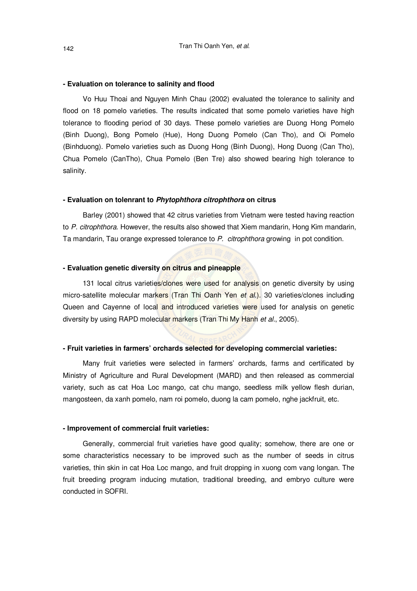#### **- Evaluation on tolerance to salinity and flood**

Vo Huu Thoai and Nguyen Minh Chau (2002) evaluated the tolerance to salinity and flood on 18 pomelo varieties. The results indicated that some pomelo varieties have high tolerance to flooding period of 30 days. These pomelo varieties are Duong Hong Pomelo (Binh Duong), Bong Pomelo (Hue), Hong Duong Pomelo (Can Tho), and Oi Pomelo (Binhduong). Pomelo varieties such as Duong Hong (Binh Duong), Hong Duong (Can Tho), Chua Pomelo (CanTho), Chua Pomelo (Ben Tre) also showed bearing high tolerance to salinity.

#### **- Evaluation on tolenrant to** *Phytophthora citrophthora* **on citrus**

Barley (2001) showed that 42 citrus varieties from Vietnam were tested having reaction to *P. citrophthora*. However, the results also showed that Xiem mandarin, Hong Kim mandarin, Ta mandarin, Tau orange expressed tolerance to *P. citrophthora* growing in pot condition.

#### **- Evaluation genetic diversity on citrus and pineapple**

131 local citrus varieties/clones were used for analysis on genetic diversity by using micro-satellite molecular markers (Tran Thi Oanh Yen *et al*.). 30 varieties/clones including Queen and Cayenne of local and introduced varieties were used for analysis on genetic diversity by using RAPD molecular markers (Tran Thi My Hanh *et al.*, 2005).

#### **- Fruit varieties in farmers' orchards selected for developing commercial varieties:**

Many fruit varieties were selected in farmers' orchards, farms and certificated by Ministry of Agriculture and Rural Development (MARD) and then released as commercial variety, such as cat Hoa Loc mango, cat chu mango, seedless milk yellow flesh durian, mangosteen, da xanh pomelo, nam roi pomelo, duong la cam pomelo, nghe jackfruit, etc.

#### **- Improvement of commercial fruit varieties:**

Generally, commercial fruit varieties have good quality; somehow, there are one or some characteristics necessary to be improved such as the number of seeds in citrus varieties, thin skin in cat Hoa Loc mango, and fruit dropping in xuong com vang longan. The fruit breeding program inducing mutation, traditional breeding, and embryo culture were conducted in SOFRI.